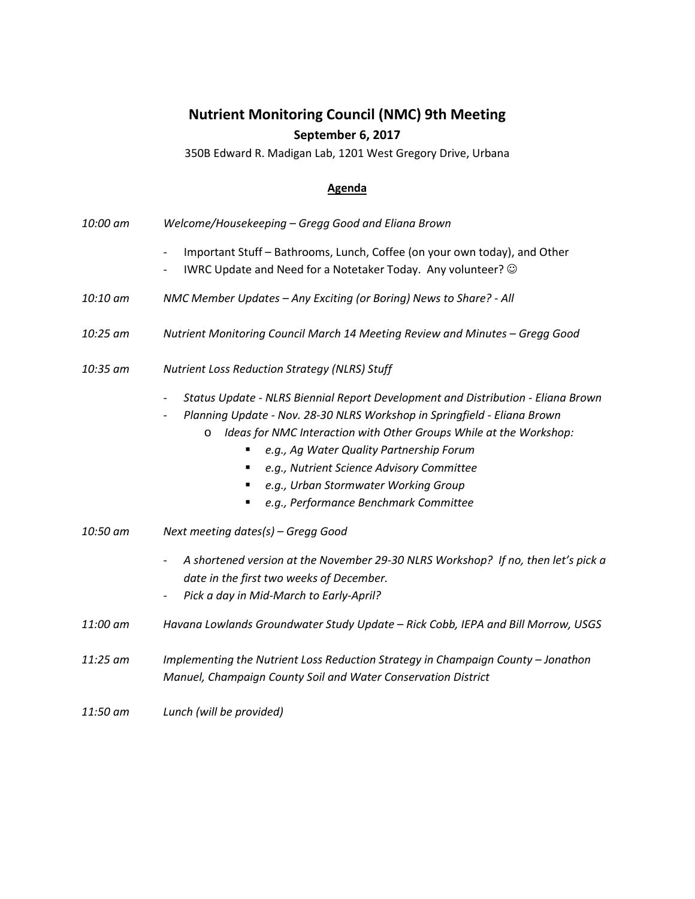## **Nutrient Monitoring Council (NMC) 9th Meeting September 6, 2017**

350B Edward R. Madigan Lab, 1201 West Gregory Drive, Urbana

## **Agenda**

- *10:00 am Welcome/Housekeeping – Gregg Good and Eliana Brown*
	- Important Stuff Bathrooms, Lunch, Coffee (on your own today), and Other
	- IWRC Update and Need for a Notetaker Today. Any volunteer?  $\odot$
- *10:10 am NMC Member Updates – Any Exciting (or Boring) News to Share? - All*
- *10:25 am Nutrient Monitoring Council March 14 Meeting Review and Minutes – Gregg Good*
- *10:35 am Nutrient Loss Reduction Strategy (NLRS) Stuff*
	- *Status Update - NLRS Biennial Report Development and Distribution - Eliana Brown*
	- *Planning Update - Nov. 28-30 NLRS Workshop in Springfield - Eliana Brown*
		- o *Ideas for NMC Interaction with Other Groups While at the Workshop:*
			- *e.g., Ag Water Quality Partnership Forum*
			- *e.g., Nutrient Science Advisory Committee*
			- *e.g., Urban Stormwater Working Group*
			- *e.g., Performance Benchmark Committee*
- *10:50 am Next meeting dates(s) – Gregg Good*
	- A shortened version at the November 29-30 NLRS Workshop? If no, then let's pick a *date in the first two weeks of December.*
	- *Pick a day in Mid-March to Early-April?*
- *11:00 am Havana Lowlands Groundwater Study Update – Rick Cobb, IEPA and Bill Morrow, USGS*
- *11:25 am Implementing the Nutrient Loss Reduction Strategy in Champaign County – Jonathon Manuel, Champaign County Soil and Water Conservation District*
- *11:50 am Lunch (will be provided)*